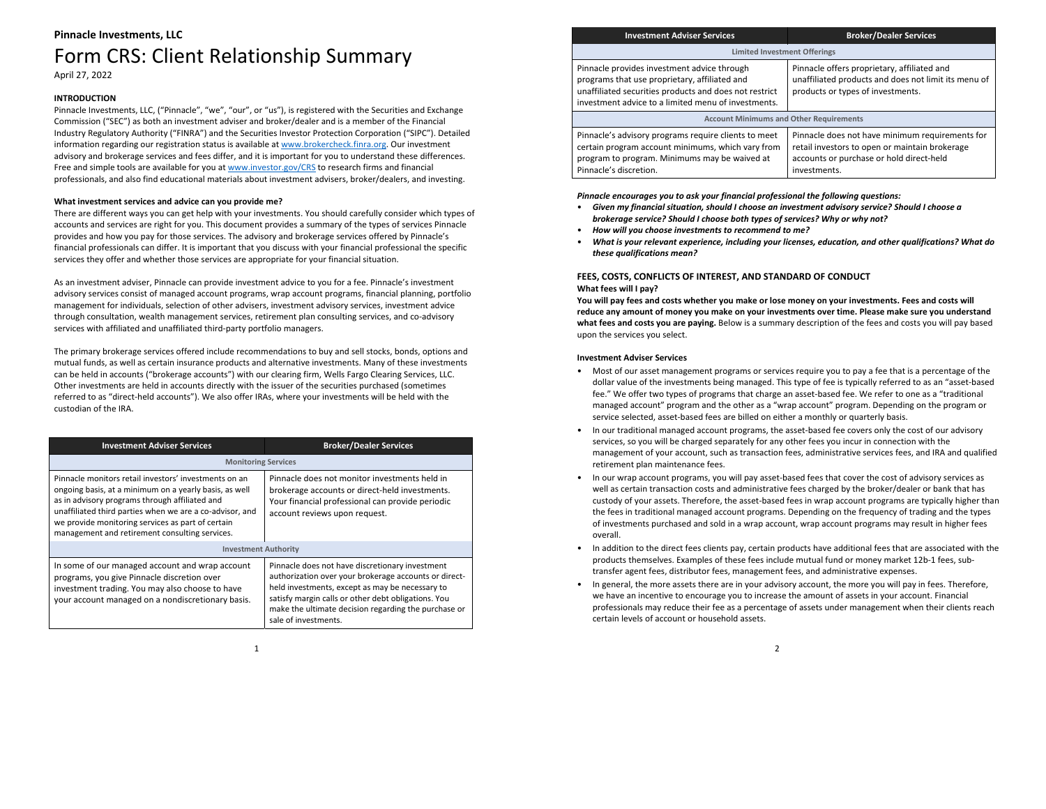# **Pinnacle Investments, LLC** Form CRS: Client Relationship Summary April 27, 2022

# **INTRODUCTION**

Pinnacle Investments, LLC, ("Pinnacle", "we", "our", or "us"), is registered with the Securities and Exchange Commission ("SEC") as both an investment adviser and broker/dealer and is <sup>a</sup> member of the Financial Industry Regulatory Authority ("FINRA") and the Securities Investor Protection Corporation ("SIPC"). Detailed information regarding our registration status is available at <u>www.brokercheck.finra.org</u>. Our investment advisory and brokerage services and fees differ, and it is important for you to understand these differences. Free and simple tools are available for you at www.investor.gov/CRS to research firms and financial professionals, and also find educational materials about investment advisers, broker/dealers, and investing.

# **What investment services and advice can you provide me?**

There are different ways you can get help with your investments. You should carefully consider which types of accounts and services are right for you. This document provides <sup>a</sup> summary of the types of services Pinnacle provides and how you pay for those services. The advisory and brokerage services offered by Pinnacle's financial professionals can differ. It is important that you discuss with your financial professional the specific services they offer and whether those services are appropriate for your financial situation.

As an investment adviser, Pinnacle can provide investment advice to you for <sup>a</sup> fee. Pinnacle's investment advisory services consist of managed account programs, wrap account programs, financial planning, portfolio management for individuals, selection of other advisers, investment advisory services, investment advice through consultation, wealth management services, retirement plan consulting services, and co‐advisory services with affiliated and unaffiliated third‐party portfolio managers.

The primary brokerage services offered include recommendations to buy and sell stocks, bonds, options and mutual funds, as well as certain insurance products and alternative investments. Many of these investments can be held in accounts ("brokerage accounts") with our clearing firm, Wells Fargo Clearing Services, LLC. Other investments are held in accounts directly with the issuer of the securities purchased (sometimes referred to as "direct‐held accounts"). We also offer IRAs, where your investments will be held with the custodian of the IRA.

| <b>Investment Adviser Services</b>                                                                                                                                                                                                                                                                                                   | <b>Broker/Dealer Services</b>                                                                                                                                                                                                                                                                      |
|--------------------------------------------------------------------------------------------------------------------------------------------------------------------------------------------------------------------------------------------------------------------------------------------------------------------------------------|----------------------------------------------------------------------------------------------------------------------------------------------------------------------------------------------------------------------------------------------------------------------------------------------------|
| <b>Monitoring Services</b>                                                                                                                                                                                                                                                                                                           |                                                                                                                                                                                                                                                                                                    |
| Pinnacle monitors retail investors' investments on an<br>ongoing basis, at a minimum on a yearly basis, as well<br>as in advisory programs through affiliated and<br>unaffiliated third parties when we are a co-advisor, and<br>we provide monitoring services as part of certain<br>management and retirement consulting services. | Pinnacle does not monitor investments held in<br>brokerage accounts or direct-held investments.<br>Your financial professional can provide periodic<br>account reviews upon request.                                                                                                               |
| <b>Investment Authority</b>                                                                                                                                                                                                                                                                                                          |                                                                                                                                                                                                                                                                                                    |
| In some of our managed account and wrap account<br>programs, you give Pinnacle discretion over<br>investment trading. You may also choose to have<br>your account managed on a nondiscretionary basis.                                                                                                                               | Pinnacle does not have discretionary investment<br>authorization over your brokerage accounts or direct-<br>held investments, except as may be necessary to<br>satisfy margin calls or other debt obligations. You<br>make the ultimate decision regarding the purchase or<br>sale of investments. |

| <b>Investment Adviser Services</b>                                                                                                                                                                            | <b>Broker/Dealer Services</b>                                                                                                                                 |
|---------------------------------------------------------------------------------------------------------------------------------------------------------------------------------------------------------------|---------------------------------------------------------------------------------------------------------------------------------------------------------------|
| <b>Limited Investment Offerings</b>                                                                                                                                                                           |                                                                                                                                                               |
| Pinnacle provides investment advice through<br>programs that use proprietary, affiliated and<br>unaffiliated securities products and does not restrict<br>investment advice to a limited menu of investments. | Pinnacle offers proprietary, affiliated and<br>unaffiliated products and does not limit its menu of<br>products or types of investments.                      |
| <b>Account Minimums and Other Requirements</b>                                                                                                                                                                |                                                                                                                                                               |
| Pinnacle's advisory programs require clients to meet<br>certain program account minimums, which vary from<br>program to program. Minimums may be waived at<br>Pinnacle's discretion.                          | Pinnacle does not have minimum requirements for<br>retail investors to open or maintain brokerage<br>accounts or purchase or hold direct-held<br>investments. |
|                                                                                                                                                                                                               |                                                                                                                                                               |

# *Pinnacle encourages you to ask your financial professional the following questions:*

- *Given my financial situation, should I choose an investment advisory service? Should I choose <sup>a</sup> brokerage service? Should I choose both types of services? Why or why not?*
- •*How will you choose investments to recommend to me?*
- • *What is your relevant experience, including your licenses, education, and other qualifications? What do these qualifications mean?*

# **FEES, COSTS, CONFLICTS OF INTEREST, AND STANDARD OF CONDUCT What fees will I pay?**

You will pay fees and costs whether you make or lose money on your investments. Fees and costs will **reduce any amount of money you make on your investments over time. Please make sure you understand what fees and costs you are paying.** Below is <sup>a</sup> summary description of the fees and costs you will pay based upon the services you select.

## **Investment Adviser Services**

- Most of our asset management programs or services require you to pay <sup>a</sup> fee that is <sup>a</sup> percentage of the dollar value of the investments being managed. This type of fee is typically referred to as an "asset‐based fee." We offer two types of programs that charge an asset‐based fee. We refer to one as <sup>a</sup> "traditional managed account" program and the other as <sup>a</sup> "wrap account" program. Depending on the program or service selected, asset‐based fees are billed on either <sup>a</sup> monthly or quarterly basis.
- In our traditional managed account programs, the asset-based fee covers only the cost of our advisory services, so you will be charged separately for any other fees you incur in connection with the management of your account, such as transaction fees, administrative services fees, and IRA and qualified retirement plan maintenance fees.
- In our wrap account programs, you will pay asset-based fees that cover the cost of advisory services as well as certain transaction costs and administrative fees charged by the broker/dealer or bank that has custody of your assets. Therefore, the asset-based fees in wrap account programs are typically higher than the fees in traditional managed account programs. Depending on the frequency of trading and the types of investments purchased and sold in <sup>a</sup> wrap account, wrap account programs may result in higher fees overall.
- •• In addition to the direct fees clients pay, certain products have additional fees that are associated with the products themselves. Examples of these fees include mutual fund or money market 12b-1 fees, subtransfer agent fees, distributor fees, management fees, and administrative expenses.
- In general, the more assets there are in your advisory account, the more you will pay in fees. Therefore, we have an incentive to encourage you to increase the amount of assets in your account. Financial professionals may reduce their fee as <sup>a</sup> percentage of assets under management when their clients reach certain levels of account or household assets.

1

## 2